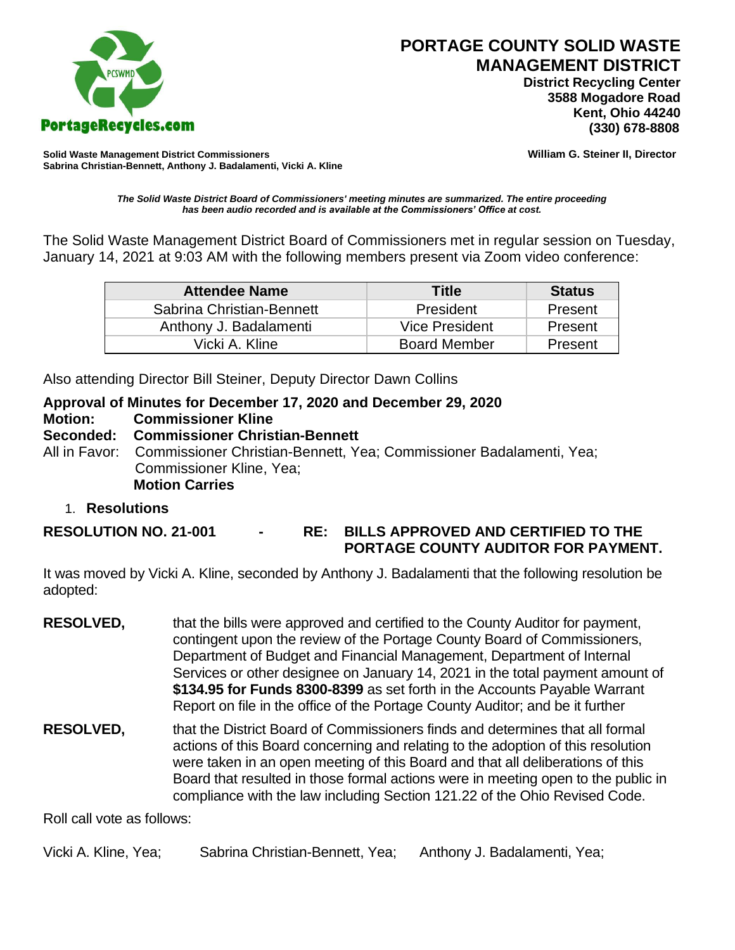

 **District Recycling Center 3588 Mogadore Road Kent, Ohio 44240**

**Solid Waste Management District Commissioners William G. Steiner II, Director Sabrina Christian-Bennett, Anthony J. Badalamenti, Vicki A. Kline**

*The Solid Waste District Board of Commissioners' meeting minutes are summarized. The entire proceeding has been audio recorded and is available at the Commissioners' Office at cost.*

The Solid Waste Management District Board of Commissioners met in regular session on Tuesday, January 14, 2021 at 9:03 AM with the following members present via Zoom video conference:

| <b>Attendee Name</b>      | <b>Title</b>        | <b>Status</b> |
|---------------------------|---------------------|---------------|
| Sabrina Christian-Bennett | President           | Present       |
| Anthony J. Badalamenti    | Vice President      | Present       |
| Vicki A. Kline            | <b>Board Member</b> | Present       |

Also attending Director Bill Steiner, Deputy Director Dawn Collins

#### **Approval of Minutes for December 17, 2020 and December 29, 2020**

**Motion: Commissioner Kline** 

#### **Seconded: Commissioner Christian-Bennett**

All in Favor: Commissioner Christian-Bennett, Yea; Commissioner Badalamenti, Yea; Commissioner Kline, Yea; **Motion Carries**

#### 1. **Resolutions**

#### **RESOLUTION NO. 21-001 - RE: BILLS APPROVED AND CERTIFIED TO THE PORTAGE COUNTY AUDITOR FOR PAYMENT.**

It was moved by Vicki A. Kline, seconded by Anthony J. Badalamenti that the following resolution be adopted:

- **RESOLVED,** that the bills were approved and certified to the County Auditor for payment, contingent upon the review of the Portage County Board of Commissioners, Department of Budget and Financial Management, Department of Internal Services or other designee on January 14, 2021 in the total payment amount of **\$134.95 for Funds 8300-8399** as set forth in the Accounts Payable Warrant Report on file in the office of the Portage County Auditor; and be it further
- **RESOLVED,** that the District Board of Commissioners finds and determines that all formal actions of this Board concerning and relating to the adoption of this resolution were taken in an open meeting of this Board and that all deliberations of this Board that resulted in those formal actions were in meeting open to the public in compliance with the law including Section 121.22 of the Ohio Revised Code.

Roll call vote as follows:

Vicki A. Kline, Yea; Sabrina Christian-Bennett, Yea; Anthony J. Badalamenti, Yea;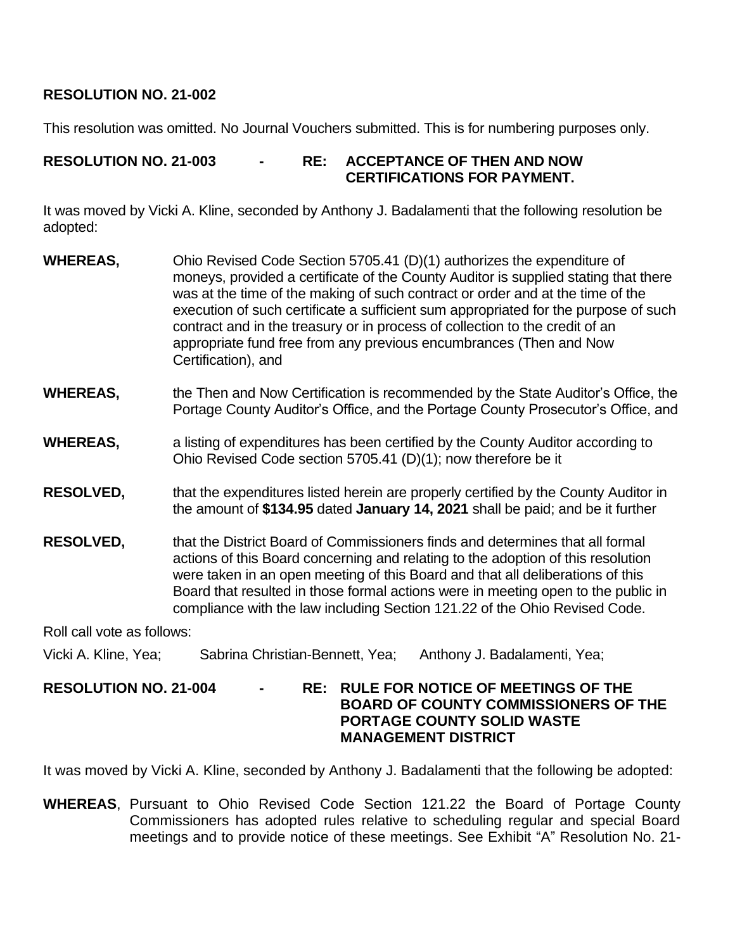### **RESOLUTION NO. 21-002**

This resolution was omitted. No Journal Vouchers submitted. This is for numbering purposes only.

### **RESOLUTION NO. 21-003 - RE: ACCEPTANCE OF THEN AND NOW CERTIFICATIONS FOR PAYMENT.**

It was moved by Vicki A. Kline, seconded by Anthony J. Badalamenti that the following resolution be adopted:

- **WHEREAS,** Ohio Revised Code Section 5705.41 (D)(1) authorizes the expenditure of moneys, provided a certificate of the County Auditor is supplied stating that there was at the time of the making of such contract or order and at the time of the execution of such certificate a sufficient sum appropriated for the purpose of such contract and in the treasury or in process of collection to the credit of an appropriate fund free from any previous encumbrances (Then and Now Certification), and
- **WHEREAS,** the Then and Now Certification is recommended by the State Auditor's Office, the Portage County Auditor's Office, and the Portage County Prosecutor's Office, and
- **WHEREAS,** a listing of expenditures has been certified by the County Auditor according to Ohio Revised Code section 5705.41 (D)(1); now therefore be it
- **RESOLVED,** that the expenditures listed herein are properly certified by the County Auditor in the amount of **\$134.95** dated **January 14, 2021** shall be paid; and be it further
- **RESOLVED,** that the District Board of Commissioners finds and determines that all formal actions of this Board concerning and relating to the adoption of this resolution were taken in an open meeting of this Board and that all deliberations of this Board that resulted in those formal actions were in meeting open to the public in compliance with the law including Section 121.22 of the Ohio Revised Code.

Roll call vote as follows:

- Vicki A. Kline, Yea; Sabrina Christian-Bennett, Yea; Anthony J. Badalamenti, Yea;
- **RESOLUTION NO. 21-004 - RE: RULE FOR NOTICE OF MEETINGS OF THE BOARD OF COUNTY COMMISSIONERS OF THE PORTAGE COUNTY SOLID WASTE MANAGEMENT DISTRICT**

It was moved by Vicki A. Kline, seconded by Anthony J. Badalamenti that the following be adopted:

**WHEREAS**, Pursuant to Ohio Revised Code Section 121.22 the Board of Portage County Commissioners has adopted rules relative to scheduling regular and special Board meetings and to provide notice of these meetings. See Exhibit "A" Resolution No. 21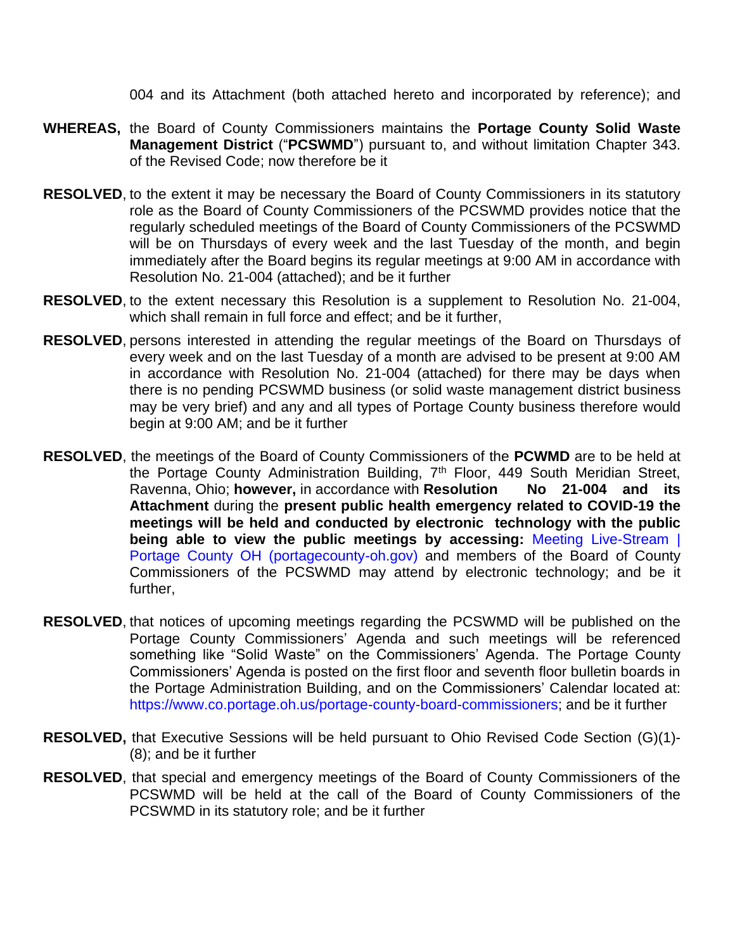004 and its Attachment (both attached hereto and incorporated by reference); and

- **WHEREAS,** the Board of County Commissioners maintains the **Portage County Solid Waste Management District** ("**PCSWMD**") pursuant to, and without limitation Chapter 343. of the Revised Code; now therefore be it
- **RESOLVED**, to the extent it may be necessary the Board of County Commissioners in its statutory role as the Board of County Commissioners of the PCSWMD provides notice that the regularly scheduled meetings of the Board of County Commissioners of the PCSWMD will be on Thursdays of every week and the last Tuesday of the month, and begin immediately after the Board begins its regular meetings at 9:00 AM in accordance with Resolution No. 21-004 (attached); and be it further
- **RESOLVED**, to the extent necessary this Resolution is a supplement to Resolution No. 21-004, which shall remain in full force and effect; and be it further,
- **RESOLVED**, persons interested in attending the regular meetings of the Board on Thursdays of every week and on the last Tuesday of a month are advised to be present at 9:00 AM in accordance with Resolution No. 21-004 (attached) for there may be days when there is no pending PCSWMD business (or solid waste management district business may be very brief) and any and all types of Portage County business therefore would begin at 9:00 AM; and be it further
- **RESOLVED**, the meetings of the Board of County Commissioners of the **PCWMD** are to be held at the Portage County Administration Building, 7<sup>th</sup> Floor, 449 South Meridian Street, Ravenna, Ohio; **however,** in accordance with **Resolution No 21-004 and its Attachment** during the **present public health emergency related to COVID-19 the meetings will be held and conducted by electronic technology with the public being able to view the public meetings by accessing:** [Meeting Live-Stream |](https://www.portagecounty-oh.gov/portage-county-board-commissioners/pages/meeting-live-stream)  [Portage County OH \(portagecounty-oh.gov\)](https://www.portagecounty-oh.gov/portage-county-board-commissioners/pages/meeting-live-stream) and members of the Board of County Commissioners of the PCSWMD may attend by electronic technology; and be it further,
- **RESOLVED**, that notices of upcoming meetings regarding the PCSWMD will be published on the Portage County Commissioners' Agenda and such meetings will be referenced something like "Solid Waste" on the Commissioners' Agenda. The Portage County Commissioners' Agenda is posted on the first floor and seventh floor bulletin boards in the Portage Administration Building, and on the Commissioners' Calendar located at: [https://www.co.portage.oh.us/portage-county-board-commissioners;](https://www.co.portage.oh.us/portage-county-board-commissioners) and be it further
- **RESOLVED,** that Executive Sessions will be held pursuant to Ohio Revised Code Section (G)(1)- (8); and be it further
- **RESOLVED**, that special and emergency meetings of the Board of County Commissioners of the PCSWMD will be held at the call of the Board of County Commissioners of the PCSWMD in its statutory role; and be it further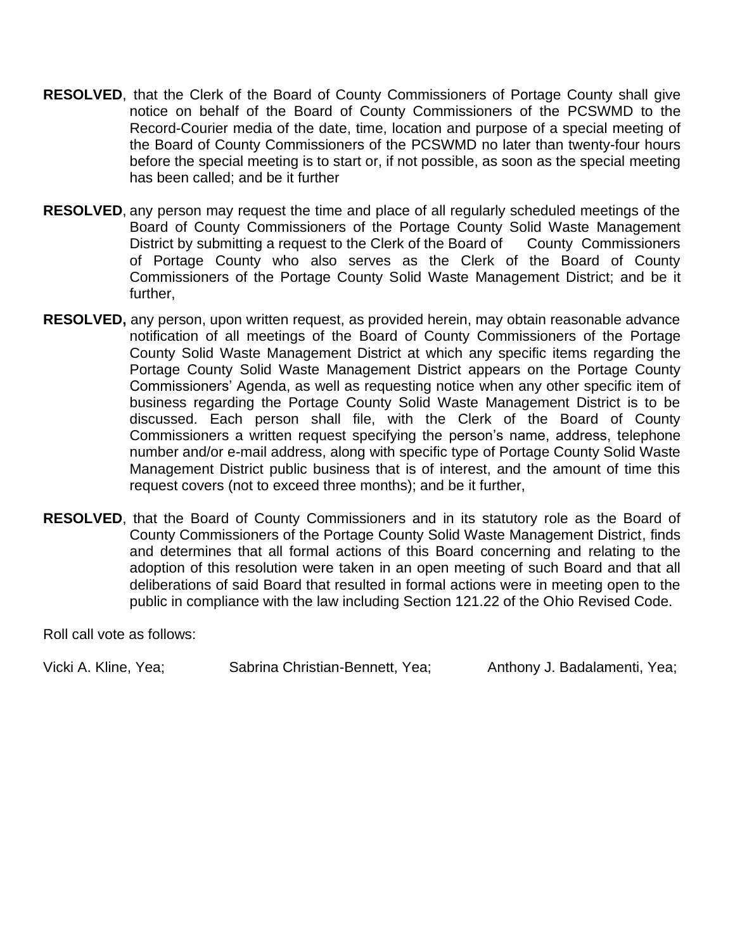- **RESOLVED**, that the Clerk of the Board of County Commissioners of Portage County shall give notice on behalf of the Board of County Commissioners of the PCSWMD to the Record-Courier media of the date, time, location and purpose of a special meeting of the Board of County Commissioners of the PCSWMD no later than twenty-four hours before the special meeting is to start or, if not possible, as soon as the special meeting has been called; and be it further
- **RESOLVED**, any person may request the time and place of all regularly scheduled meetings of the Board of County Commissioners of the Portage County Solid Waste Management District by submitting a request to the Clerk of the Board of County Commissioners of Portage County who also serves as the Clerk of the Board of County Commissioners of the Portage County Solid Waste Management District; and be it further,
- **RESOLVED,** any person, upon written request, as provided herein, may obtain reasonable advance notification of all meetings of the Board of County Commissioners of the Portage County Solid Waste Management District at which any specific items regarding the Portage County Solid Waste Management District appears on the Portage County Commissioners' Agenda, as well as requesting notice when any other specific item of business regarding the Portage County Solid Waste Management District is to be discussed. Each person shall file, with the Clerk of the Board of County Commissioners a written request specifying the person's name, address, telephone number and/or e-mail address, along with specific type of Portage County Solid Waste Management District public business that is of interest, and the amount of time this request covers (not to exceed three months); and be it further,
- **RESOLVED**, that the Board of County Commissioners and in its statutory role as the Board of County Commissioners of the Portage County Solid Waste Management District, finds and determines that all formal actions of this Board concerning and relating to the adoption of this resolution were taken in an open meeting of such Board and that all deliberations of said Board that resulted in formal actions were in meeting open to the public in compliance with the law including Section 121.22 of the Ohio Revised Code.

Roll call vote as follows:

Vicki A. Kline, Yea; Sabrina Christian-Bennett, Yea; Anthony J. Badalamenti, Yea;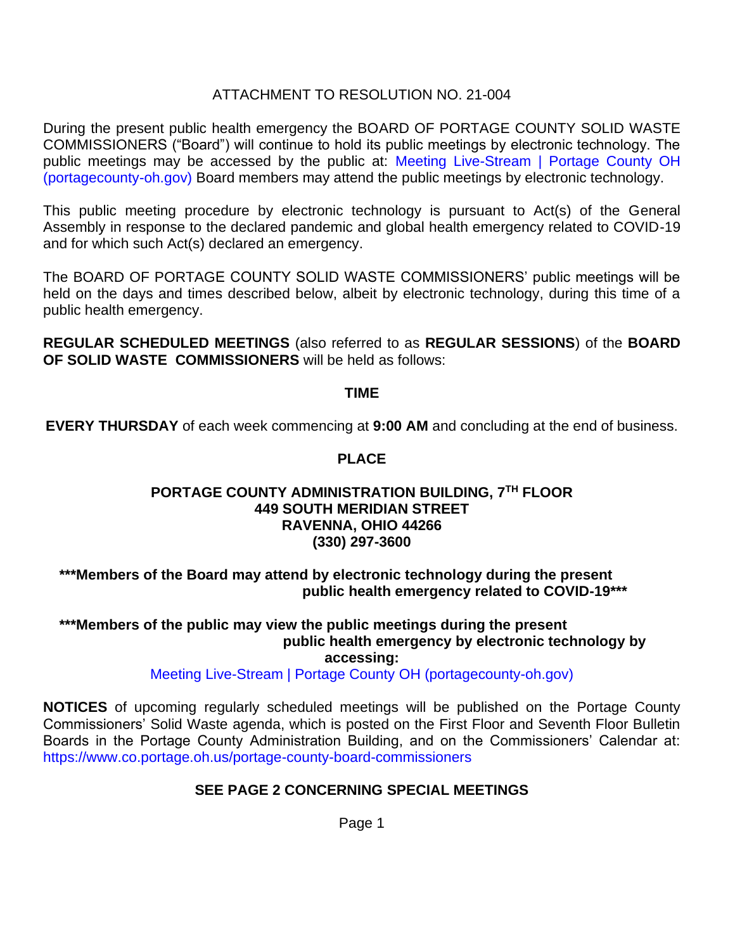### ATTACHMENT TO RESOLUTION NO. 21-004

During the present public health emergency the BOARD OF PORTAGE COUNTY SOLID WASTE COMMISSIONERS ("Board") will continue to hold its public meetings by electronic technology. The public meetings may be accessed by the public at: [Meeting Live-Stream | Portage County OH](https://www.portagecounty-oh.gov/portage-county-board-commissioners/pages/meeting-live-stream)  [\(portagecounty-oh.gov\)](https://www.portagecounty-oh.gov/portage-county-board-commissioners/pages/meeting-live-stream) Board members may attend the public meetings by electronic technology.

This public meeting procedure by electronic technology is pursuant to Act(s) of the General Assembly in response to the declared pandemic and global health emergency related to COVID-19 and for which such Act(s) declared an emergency.

The BOARD OF PORTAGE COUNTY SOLID WASTE COMMISSIONERS' public meetings will be held on the days and times described below, albeit by electronic technology, during this time of a public health emergency.

**REGULAR SCHEDULED MEETINGS** (also referred to as **REGULAR SESSIONS**) of the **BOARD OF SOLID WASTE COMMISSIONERS** will be held as follows:

**TIME**

**EVERY THURSDAY** of each week commencing at **9:00 AM** and concluding at the end of business.

### **PLACE**

#### **PORTAGE COUNTY ADMINISTRATION BUILDING, 7TH FLOOR 449 SOUTH MERIDIAN STREET RAVENNA, OHIO 44266 (330) 297-3600**

**\*\*\*Members of the Board may attend by electronic technology during the present public health emergency related to COVID-19\*\*\***

#### **\*\*\*Members of the public may view the public meetings during the present public health emergency by electronic technology by accessing:**

[Meeting Live-Stream | Portage County](https://www.portagecounty-oh.gov/portage-county-board-commissioners/pages/meeting-live-stream) OH (portagecounty-oh.gov)

**NOTICES** of upcoming regularly scheduled meetings will be published on the Portage County Commissioners' Solid Waste agenda, which is posted on the First Floor and Seventh Floor Bulletin Boards in the Portage County Administration Building, and on the Commissioners' Calendar at: <https://www.co.portage.oh.us/portage-county-board-commissioners>

# **SEE PAGE 2 CONCERNING SPECIAL MEETINGS**

Page 1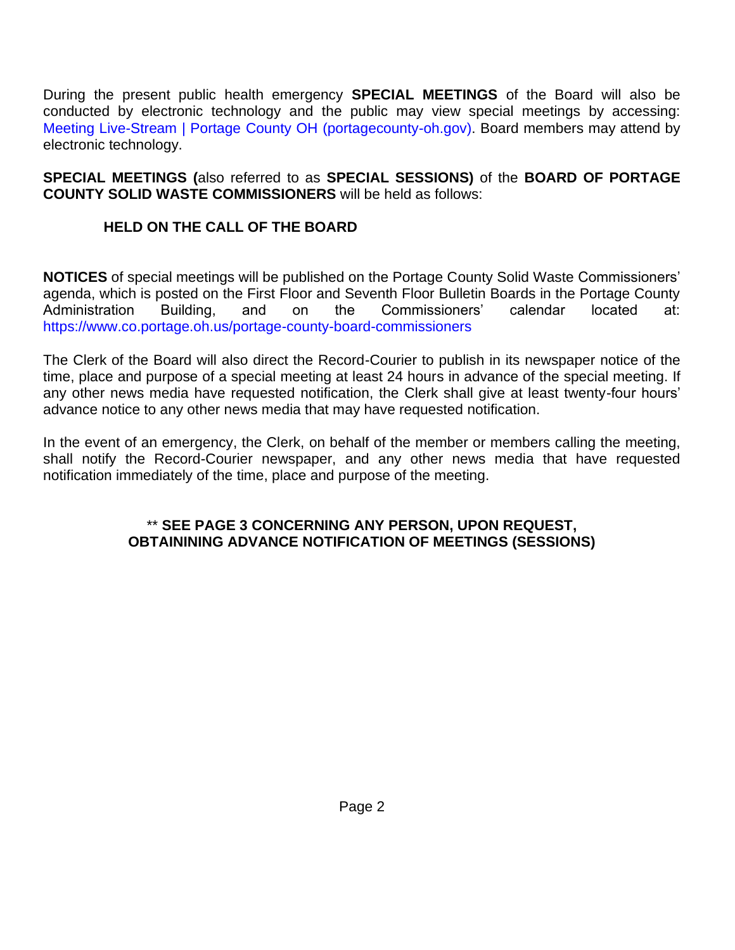During the present public health emergency **SPECIAL MEETINGS** of the Board will also be conducted by electronic technology and the public may view special meetings by accessing: Meeting Live-Stream | Portage [County OH \(portagecounty-oh.gov\).](https://www.portagecounty-oh.gov/portage-county-board-commissioners/pages/meeting-live-stream) Board members may attend by electronic technology.

**SPECIAL MEETINGS (**also referred to as **SPECIAL SESSIONS)** of the **BOARD OF PORTAGE COUNTY SOLID WASTE COMMISSIONERS** will be held as follows:

# **HELD ON THE CALL OF THE BOARD**

**NOTICES** of special meetings will be published on the Portage County Solid Waste Commissioners' agenda, which is posted on the First Floor and Seventh Floor Bulletin Boards in the Portage County Administration Building, and on the Commissioners' calendar located at: <https://www.co.portage.oh.us/portage-county-board-commissioners>

The Clerk of the Board will also direct the Record-Courier to publish in its newspaper notice of the time, place and purpose of a special meeting at least 24 hours in advance of the special meeting. If any other news media have requested notification, the Clerk shall give at least twenty-four hours' advance notice to any other news media that may have requested notification.

In the event of an emergency, the Clerk, on behalf of the member or members calling the meeting, shall notify the Record-Courier newspaper, and any other news media that have requested notification immediately of the time, place and purpose of the meeting.

### \*\* **SEE PAGE 3 CONCERNING ANY PERSON, UPON REQUEST, OBTAININING ADVANCE NOTIFICATION OF MEETINGS (SESSIONS)**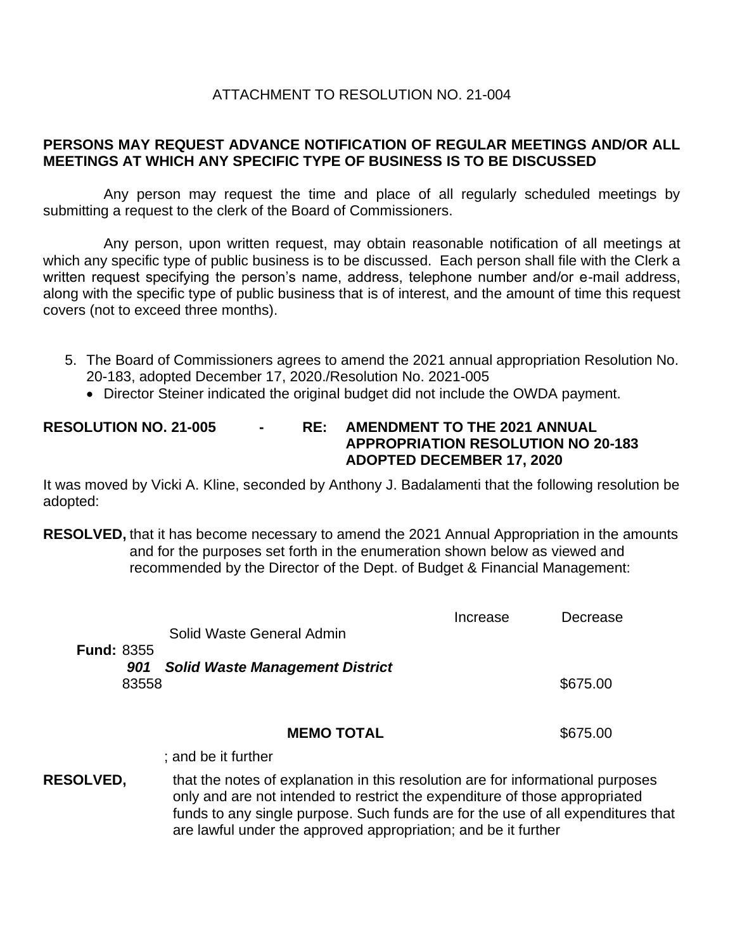### ATTACHMENT TO RESOLUTION NO. 21-004

### **PERSONS MAY REQUEST ADVANCE NOTIFICATION OF REGULAR MEETINGS AND/OR ALL MEETINGS AT WHICH ANY SPECIFIC TYPE OF BUSINESS IS TO BE DISCUSSED**

Any person may request the time and place of all regularly scheduled meetings by submitting a request to the clerk of the Board of Commissioners.

Any person, upon written request, may obtain reasonable notification of all meetings at which any specific type of public business is to be discussed. Each person shall file with the Clerk a written request specifying the person's name, address, telephone number and/or e-mail address, along with the specific type of public business that is of interest, and the amount of time this request covers (not to exceed three months).

- 5. The Board of Commissioners agrees to amend the 2021 annual appropriation Resolution No. 20-183, adopted December 17, 2020./Resolution No. 2021-005
	- Director Steiner indicated the original budget did not include the OWDA payment.

### **RESOLUTION NO. 21-005 - RE: AMENDMENT TO THE 2021 ANNUAL APPROPRIATION RESOLUTION NO 20-183 ADOPTED DECEMBER 17, 2020**

It was moved by Vicki A. Kline, seconded by Anthony J. Badalamenti that the following resolution be adopted:

**RESOLVED,** that it has become necessary to amend the 2021 Annual Appropriation in the amounts and for the purposes set forth in the enumeration shown below as viewed and recommended by the Director of the Dept. of Budget & Financial Management:

|                   | Solid Waste General Admin                                                       | Increase | Decrease |
|-------------------|---------------------------------------------------------------------------------|----------|----------|
| <b>Fund: 8355</b> |                                                                                 |          |          |
| 901<br>83558      | <b>Solid Waste Management District</b>                                          |          | \$675.00 |
|                   | <b>MEMO TOTAL</b>                                                               |          | \$675.00 |
|                   | ; and be it further                                                             |          |          |
| <b>RESOLVED,</b>  | that the notes of explanation in this resolution are for informational purposes |          |          |

only and are not intended to restrict the expenditure of those appropriated funds to any single purpose. Such funds are for the use of all expenditures that are lawful under the approved appropriation; and be it further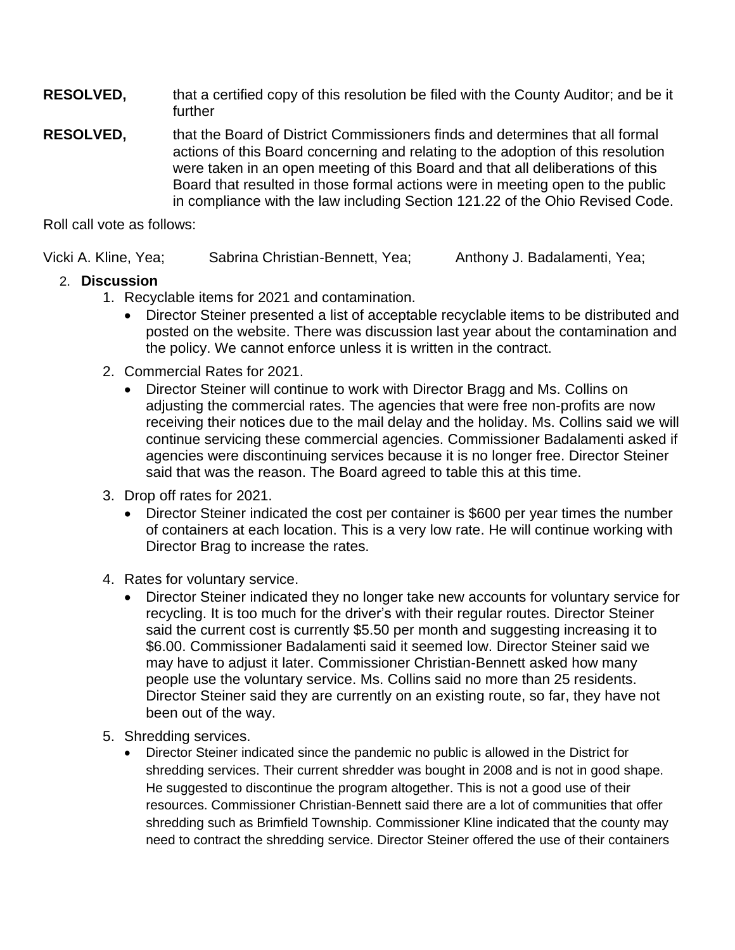**RESOLVED,** that a certified copy of this resolution be filed with the County Auditor; and be it further

**RESOLVED,** that the Board of District Commissioners finds and determines that all formal actions of this Board concerning and relating to the adoption of this resolution were taken in an open meeting of this Board and that all deliberations of this Board that resulted in those formal actions were in meeting open to the public in compliance with the law including Section 121.22 of the Ohio Revised Code.

Roll call vote as follows:

Vicki A. Kline, Yea; Sabrina Christian-Bennett, Yea; Anthony J. Badalamenti, Yea;

# 2. **Discussion**

- 1. Recyclable items for 2021 and contamination.
	- Director Steiner presented a list of acceptable recyclable items to be distributed and posted on the website. There was discussion last year about the contamination and the policy. We cannot enforce unless it is written in the contract.
- 2. Commercial Rates for 2021.
	- Director Steiner will continue to work with Director Bragg and Ms. Collins on adjusting the commercial rates. The agencies that were free non-profits are now receiving their notices due to the mail delay and the holiday. Ms. Collins said we will continue servicing these commercial agencies. Commissioner Badalamenti asked if agencies were discontinuing services because it is no longer free. Director Steiner said that was the reason. The Board agreed to table this at this time.
- 3. Drop off rates for 2021.
	- Director Steiner indicated the cost per container is \$600 per year times the number of containers at each location. This is a very low rate. He will continue working with Director Brag to increase the rates.
- 4. Rates for voluntary service.
	- Director Steiner indicated they no longer take new accounts for voluntary service for recycling. It is too much for the driver's with their regular routes. Director Steiner said the current cost is currently \$5.50 per month and suggesting increasing it to \$6.00. Commissioner Badalamenti said it seemed low. Director Steiner said we may have to adjust it later. Commissioner Christian-Bennett asked how many people use the voluntary service. Ms. Collins said no more than 25 residents. Director Steiner said they are currently on an existing route, so far, they have not been out of the way.
- 5. Shredding services.
	- Director Steiner indicated since the pandemic no public is allowed in the District for shredding services. Their current shredder was bought in 2008 and is not in good shape. He suggested to discontinue the program altogether. This is not a good use of their resources. Commissioner Christian-Bennett said there are a lot of communities that offer shredding such as Brimfield Township. Commissioner Kline indicated that the county may need to contract the shredding service. Director Steiner offered the use of their containers